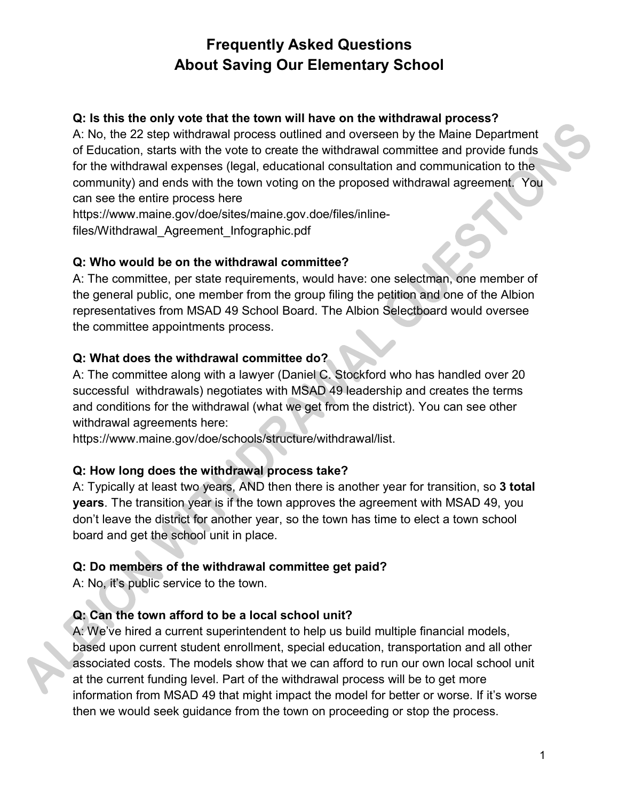#### **Q: Is this the only vote that the town will have on the withdrawal process?**

A: No, the 22 step withdrawal process outlined and overseen by the Maine Department of Education, starts with the vote to create the withdrawal committee and provide funds for the withdrawal expenses (legal, educational consultation and communication to the community) and ends with the town voting on the proposed withdrawal agreement. You can see the entire process here

https://www.maine.gov/doe/sites/maine.gov.doe/files/inlinefiles/Withdrawal\_Agreement\_Infographic.pdf

### **Q: Who would be on the withdrawal committee?**

A: The committee, per state requirements, would have: one selectman, one member of the general public, one member from the group filing the petition and one of the Albion representatives from MSAD 49 School Board. The Albion Selectboard would oversee the committee appointments process.

#### **Q: What does the withdrawal committee do?**

A: The committee along with a lawyer (Daniel C. Stockford who has handled over 20 successful withdrawals) negotiates with MSAD 49 leadership and creates the terms and conditions for the withdrawal (what we get from the district). You can see other withdrawal agreements here:

https://www.maine.gov/doe/schools/structure/withdrawal/list.

### **Q: How long does the withdrawal process take?**

A: Typically at least two years, AND then there is another year for transition, so **3 total years**. The transition year is if the town approves the agreement with MSAD 49, you don't leave the district for another year, so the town has time to elect a town school board and get the school unit in place.

### **Q: Do members of the withdrawal committee get paid?**

A: No, it's public service to the town.

### **Q: Can the town afford to be a local school unit?**

A: We've hired a current superintendent to help us build multiple financial models, based upon current student enrollment, special education, transportation and all other associated costs. The models show that we can afford to run our own local school unit at the current funding level. Part of the withdrawal process will be to get more information from MSAD 49 that might impact the model for better or worse. If it's worse then we would seek guidance from the town on proceeding or stop the process.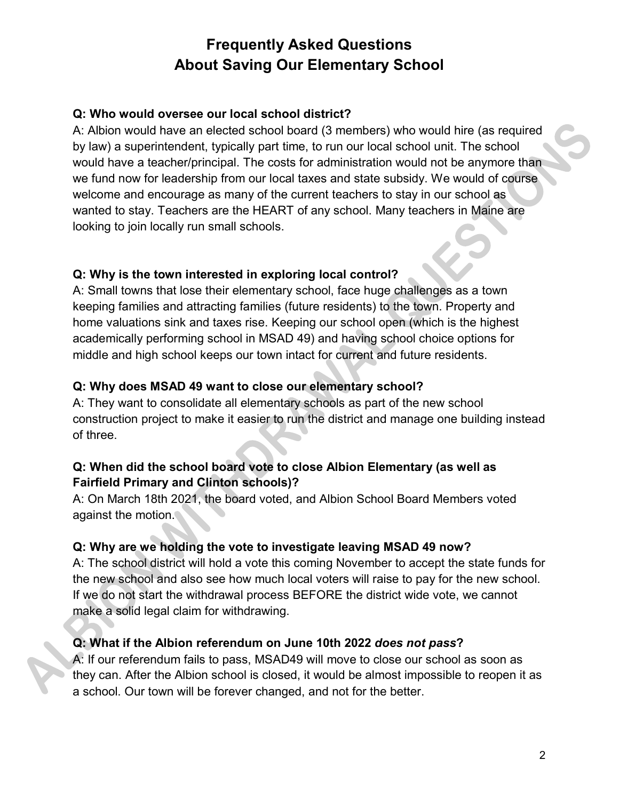### **Q: Who would oversee our local school district?**

A: Albion would have an elected school board (3 members) who would hire (as required by law) a superintendent, typically part time, to run our local school unit. The school would have a teacher/principal. The costs for administration would not be anymore than we fund now for leadership from our local taxes and state subsidy. We would of course welcome and encourage as many of the current teachers to stay in our school as wanted to stay. Teachers are the HEART of any school. Many teachers in Maine are looking to join locally run small schools.

## **Q: Why is the town interested in exploring local control?**

A: Small towns that lose their elementary school, face huge challenges as a town keeping families and attracting families (future residents) to the town. Property and home valuations sink and taxes rise. Keeping our school open (which is the highest academically performing school in MSAD 49) and having school choice options for middle and high school keeps our town intact for current and future residents.

## **Q: Why does MSAD 49 want to close our elementary school?**

A: They want to consolidate all elementary schools as part of the new school construction project to make it easier to run the district and manage one building instead of three.

### **Q: When did the school board vote to close Albion Elementary (as well as Fairfield Primary and Clinton schools)?**

A: On March 18th 2021, the board voted, and Albion School Board Members voted against the motion.

### **Q: Why are we holding the vote to investigate leaving MSAD 49 now?**

A: The school district will hold a vote this coming November to accept the state funds for the new school and also see how much local voters will raise to pay for the new school. If we do not start the withdrawal process BEFORE the district wide vote, we cannot make a solid legal claim for withdrawing.

### **Q: What if the Albion referendum on June 10th 2022** *does not pass***?**

A: If our referendum fails to pass, MSAD49 will move to close our school as soon as they can. After the Albion school is closed, it would be almost impossible to reopen it as a school. Our town will be forever changed, and not for the better.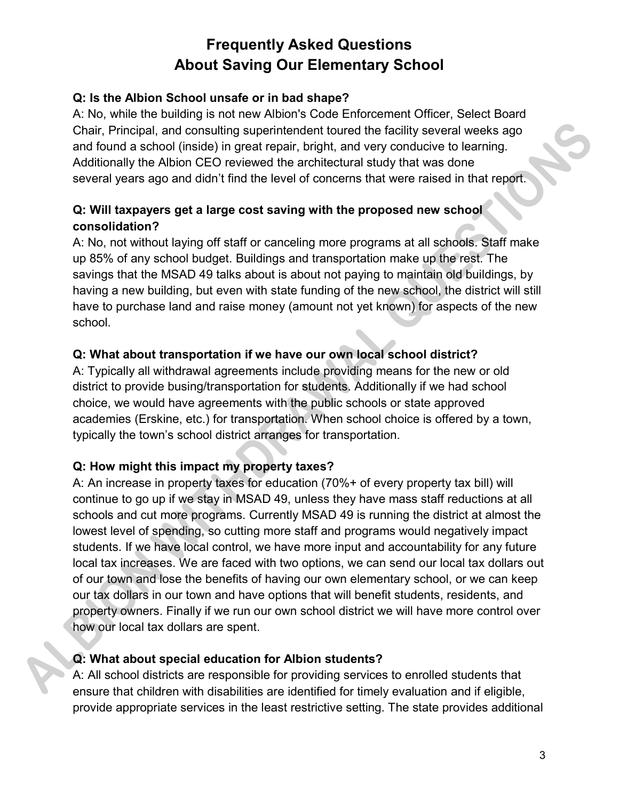### **Q: Is the Albion School unsafe or in bad shape?**

A: No, while the building is not new Albion's Code Enforcement Officer, Select Board Chair, Principal, and consulting superintendent toured the facility several weeks ago and found a school (inside) in great repair, bright, and very conducive to learning. Additionally the Albion CEO reviewed the architectural study that was done several years ago and didn't find the level of concerns that were raised in that report.

### **Q: Will taxpayers get a large cost saving with the proposed new school consolidation?**

A: No, not without laying off staff or canceling more programs at all schools. Staff make up 85% of any school budget. Buildings and transportation make up the rest. The savings that the MSAD 49 talks about is about not paying to maintain old buildings, by having a new building, but even with state funding of the new school, the district will still have to purchase land and raise money (amount not yet known) for aspects of the new school.

### **Q: What about transportation if we have our own local school district?**

A: Typically all withdrawal agreements include providing means for the new or old district to provide busing/transportation for students. Additionally if we had school choice, we would have agreements with the public schools or state approved academies (Erskine, etc.) for transportation. When school choice is offered by a town, typically the town's school district arranges for transportation.

### **Q: How might this impact my property taxes?**

A: An increase in property taxes for education (70%+ of every property tax bill) will continue to go up if we stay in MSAD 49, unless they have mass staff reductions at all schools and cut more programs. Currently MSAD 49 is running the district at almost the lowest level of spending, so cutting more staff and programs would negatively impact students. If we have local control, we have more input and accountability for any future local tax increases. We are faced with two options, we can send our local tax dollars out of our town and lose the benefits of having our own elementary school, or we can keep our tax dollars in our town and have options that will benefit students, residents, and property owners. Finally if we run our own school district we will have more control over how our local tax dollars are spent.

### **Q: What about special education for Albion students?**

A: All school districts are responsible for providing services to enrolled students that ensure that children with disabilities are identified for timely evaluation and if eligible, provide appropriate services in the least restrictive setting. The state provides additional